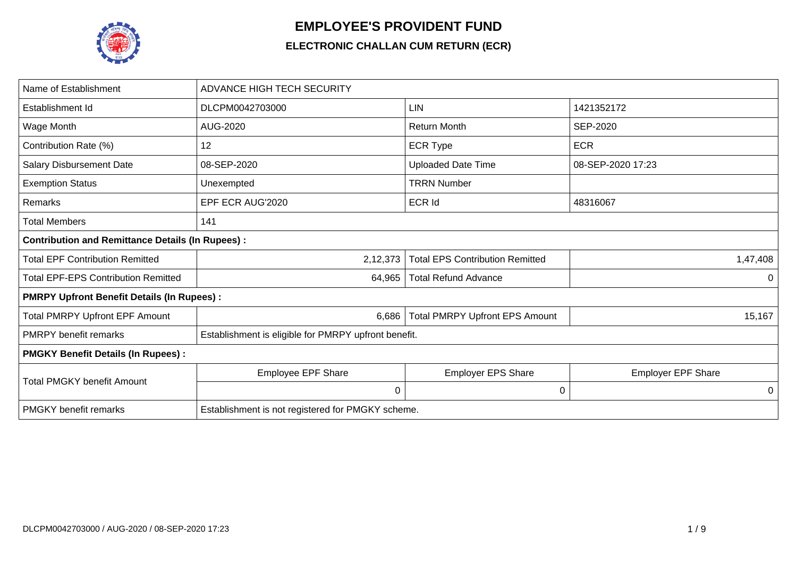

## **EMPLOYEE'S PROVIDENT FUND**

## **ELECTRONIC CHALLAN CUM RETURN (ECR)**

| Name of Establishment                                   | <b>ADVANCE HIGH TECH SECURITY</b>                    |                                        |                           |  |  |  |
|---------------------------------------------------------|------------------------------------------------------|----------------------------------------|---------------------------|--|--|--|
| Establishment Id                                        | DLCPM0042703000                                      | LIN                                    | 1421352172                |  |  |  |
| Wage Month                                              | AUG-2020                                             | <b>Return Month</b>                    | <b>SEP-2020</b>           |  |  |  |
| Contribution Rate (%)                                   | 12                                                   | <b>ECR Type</b>                        | <b>ECR</b>                |  |  |  |
| <b>Salary Disbursement Date</b>                         | 08-SEP-2020                                          | <b>Uploaded Date Time</b>              | 08-SEP-2020 17:23         |  |  |  |
| <b>Exemption Status</b>                                 | Unexempted                                           | <b>TRRN Number</b>                     |                           |  |  |  |
| Remarks                                                 | EPF ECR AUG'2020                                     | <b>ECR Id</b>                          | 48316067                  |  |  |  |
| <b>Total Members</b>                                    | 141                                                  |                                        |                           |  |  |  |
| <b>Contribution and Remittance Details (In Rupees):</b> |                                                      |                                        |                           |  |  |  |
| <b>Total EPF Contribution Remitted</b>                  | 2,12,373                                             | <b>Total EPS Contribution Remitted</b> | 1,47,408                  |  |  |  |
| <b>Total EPF-EPS Contribution Remitted</b>              | 64,965                                               | <b>Total Refund Advance</b>            | 0                         |  |  |  |
| <b>PMRPY Upfront Benefit Details (In Rupees):</b>       |                                                      |                                        |                           |  |  |  |
| <b>Total PMRPY Upfront EPF Amount</b>                   | 6,686                                                | <b>Total PMRPY Upfront EPS Amount</b>  | 15,167                    |  |  |  |
| <b>PMRPY</b> benefit remarks                            | Establishment is eligible for PMRPY upfront benefit. |                                        |                           |  |  |  |
| <b>PMGKY Benefit Details (In Rupees):</b>               |                                                      |                                        |                           |  |  |  |
| <b>Total PMGKY benefit Amount</b>                       | <b>Employee EPF Share</b>                            | <b>Employer EPS Share</b>              | <b>Employer EPF Share</b> |  |  |  |
|                                                         | 0                                                    | $\mathbf 0$                            | $\mathbf 0$               |  |  |  |
| <b>PMGKY</b> benefit remarks                            | Establishment is not registered for PMGKY scheme.    |                                        |                           |  |  |  |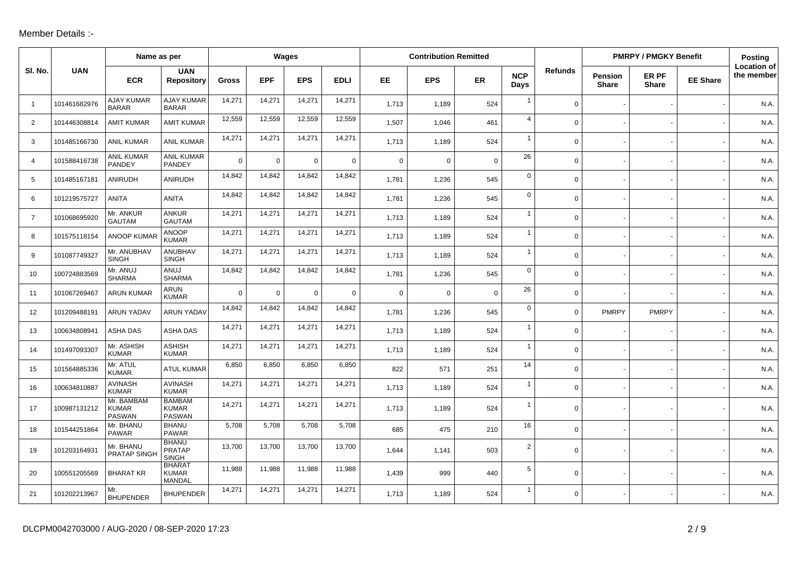## Member Details :-

|                |              | Name as per                                 |                                               | Wages    |             |             | <b>Contribution Remitted</b> |             |             |             |                    |                | <b>PMRPY / PMGKY Benefit</b>   | <b>Posting</b>        |                 |                                  |
|----------------|--------------|---------------------------------------------|-----------------------------------------------|----------|-------------|-------------|------------------------------|-------------|-------------|-------------|--------------------|----------------|--------------------------------|-----------------------|-----------------|----------------------------------|
| SI. No.        | <b>UAN</b>   | <b>ECR</b>                                  | <b>UAN</b><br><b>Repository</b>               | Gross    | <b>EPF</b>  | <b>EPS</b>  | <b>EDLI</b>                  | EE.         | <b>EPS</b>  | ER          | <b>NCP</b><br>Days | <b>Refunds</b> | <b>Pension</b><br><b>Share</b> | ER PF<br><b>Share</b> | <b>EE Share</b> | <b>Location of</b><br>the member |
| $\overline{1}$ | 101461682976 | <b>AJAY KUMAR</b><br><b>BARAR</b>           | <b>AJAY KUMAR</b><br><b>BARAR</b>             | 14,271   | 14,271      | 14,271      | 14,271                       | 1,713       | 1,189       | 524         | $\overline{1}$     | $\mathbf 0$    |                                |                       |                 | N.A.                             |
| 2              | 101446308814 | <b>AMIT KUMAR</b>                           | <b>AMIT KUMAR</b>                             | 12,559   | 12,559      | 12,559      | 12,559                       | 1,507       | 1,046       | 461         | $\overline{4}$     | $\mathbf 0$    |                                |                       |                 | N.A.                             |
| 3              | 101485166730 | <b>ANIL KUMAR</b>                           | <b>ANIL KUMAR</b>                             | 14,271   | 14,271      | 14,271      | 14,271                       | 1,713       | 1,189       | 524         | $\overline{1}$     | $\mathbf 0$    |                                |                       |                 | N.A.                             |
| $\overline{4}$ | 101588416738 | <b>ANIL KUMAR</b><br><b>PANDEY</b>          | <b>ANIL KUMAR</b><br><b>PANDEY</b>            | $\Omega$ | $\mathbf 0$ | $\mathbf 0$ | $\mathbf 0$                  | $\mathbf 0$ | 0           | $\mathbf 0$ | 26                 | $\mathbf 0$    |                                |                       |                 | N.A.                             |
| 5              | 101485167181 | ANIRUDH                                     | ANIRUDH                                       | 14,842   | 14,842      | 14,842      | 14,842                       | 1.781       | 1,236       | 545         | $\mathsf 0$        | $\mathbf 0$    |                                |                       |                 | N.A.                             |
| 6              | 101219575727 | <b>ANITA</b>                                | <b>ANITA</b>                                  | 14,842   | 14,842      | 14,842      | 14,842                       | 1,781       | 1,236       | 545         | $\overline{0}$     | $\Omega$       |                                |                       |                 | N.A.                             |
| $\overline{7}$ | 101068695920 | Mr. ANKUR<br><b>GAUTAM</b>                  | <b>ANKUR</b><br><b>GAUTAM</b>                 | 14,271   | 14,271      | 14,271      | 14,271                       | 1,713       | 1,189       | 524         | $\overline{1}$     | $\mathbf 0$    |                                |                       |                 | N.A.                             |
| 8              | 101575118154 | <b>ANOOP KUMAF</b>                          | <b>ANOOP</b><br><b>KUMAR</b>                  | 14,271   | 14,271      | 14,271      | 14,271                       | 1,713       | 1,189       | 524         | $\overline{1}$     | $\mathbf 0$    |                                |                       |                 | N.A.                             |
| 9              | 101087749327 | Mr. ANUBHAV<br><b>SINGH</b>                 | ANUBHAV<br><b>SINGH</b>                       | 14,271   | 14,271      | 14,271      | 14,271                       | 1,713       | 1,189       | 524         | $\overline{1}$     | $\mathbf 0$    |                                |                       |                 | N.A.                             |
| 10             | 100724883569 | Mr. ANUJ<br><b>SHARMA</b>                   | ANUJ<br><b>SHARMA</b>                         | 14,842   | 14,842      | 14,842      | 14,842                       | 1,781       | 1,236       | 545         | $\mathbf 0$        | $\mathbf 0$    |                                |                       |                 | N.A.                             |
| 11             | 101067269467 | <b>ARUN KUMAR</b>                           | <b>ARUN</b><br><b>KUMAR</b>                   | $\Omega$ | $\mathbf 0$ | $\mathbf 0$ | $\mathbf 0$                  | $\mathbf 0$ | $\mathbf 0$ | $\mathbf 0$ | 26                 | $\mathbf 0$    |                                |                       |                 | N.A.                             |
| 12             | 101209488191 | <b>ARUN YADAV</b>                           | <b>ARUN YADAV</b>                             | 14,842   | 14,842      | 14,842      | 14,842                       | 1,781       | 1,236       | 545         | $\mathbf 0$        | $\mathbf 0$    | <b>PMRPY</b>                   | <b>PMRPY</b>          |                 | N.A.                             |
| 13             | 100634808941 | ASHA DAS                                    | ASHA DAS                                      | 14,271   | 14,271      | 14,271      | 14,271                       | 1,713       | 1,189       | 524         | $\mathbf{1}$       | $\mathbf 0$    |                                |                       |                 | N.A.                             |
| 14             | 101497093307 | Mr. ASHISH<br><b>KUMAR</b>                  | <b>ASHISH</b><br><b>KUMAR</b>                 | 14,271   | 14,271      | 14,271      | 14,271                       | 1,713       | 1,189       | 524         | $\mathbf{1}$       | $\mathbf 0$    |                                |                       |                 | N.A.                             |
| 15             | 101564885336 | Mr. ATUL<br><b>KUMAR</b>                    | <b>ATUL KUMAR</b>                             | 6,850    | 6.850       | 6,850       | 6,850                        | 822         | 571         | 251         | 14                 | $\mathbf 0$    |                                |                       |                 | N.A.                             |
| 16             | 100634810887 | <b>AVINASH</b><br><b>KUMAR</b>              | <b>AVINASH</b><br><b>KUMAR</b>                | 14,271   | 14,271      | 14,271      | 14,271                       | 1,713       | 1,189       | 524         | $\overline{1}$     | $\mathbf 0$    |                                |                       |                 | N.A.                             |
| 17             | 100987131212 | Mr. BAMBAM<br><b>KUMAR</b><br><b>PASWAN</b> | <b>BAMBAM</b><br><b>KUMAR</b><br>PASWAN       | 14,271   | 14,271      | 14,271      | 14,271                       | 1,713       | 1,189       | 524         | $\mathbf{1}$       | $\Omega$       |                                |                       |                 | N.A.                             |
| 18             | 101544251864 | Mr. BHANU<br><b>PAWAR</b>                   | <b>BHANU</b><br><b>PAWAR</b>                  | 5,708    | 5,708       | 5,708       | 5,708                        | 685         | 475         | 210         | 16                 | $\mathbf 0$    |                                |                       |                 | N.A.                             |
| 19             | 101203164931 | Mr. BHANU<br><b>PRATAP SINGI</b>            | <b>BHANU</b><br><b>PRATAP</b><br><b>SINGH</b> | 13,700   | 13,700      | 13,700      | 13,700                       | 1,644       | 1,141       | 503         | $\overline{2}$     | $\mathbf 0$    |                                |                       |                 | N.A.                             |
| 20             | 100551205569 | <b>BHARAT KR</b>                            | <b>BHARAT</b><br><b>KUMAR</b><br>MANDAL       | 11,988   | 11,988      | 11,988      | 11,988                       | 1,439       | 999         | 440         | 5                  | $\Omega$       |                                |                       |                 | N.A.                             |
| 21             | 101202213967 | Mr.<br><b>BHUPENDER</b>                     | <b>BHUPENDER</b>                              | 14,271   | 14,271      | 14,271      | 14,271                       | 1,713       | 1,189       | 524         | $\mathbf{1}$       | $\mathbf 0$    |                                |                       |                 | N.A.                             |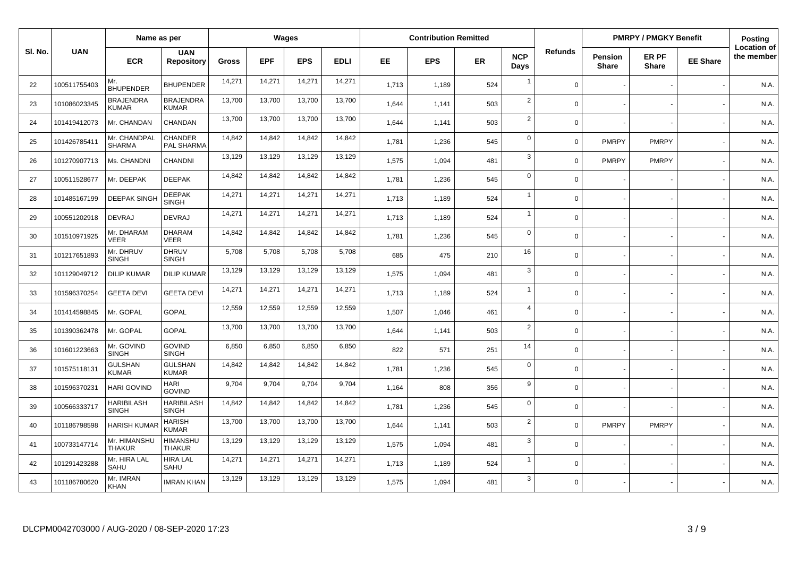|         | Name as per  |                                   | Wages                             |        |            | <b>Contribution Remitted</b> |             |       |            |           | <b>PMRPY / PMGKY Benefit</b> |                |                         | Posting               |                 |                                  |
|---------|--------------|-----------------------------------|-----------------------------------|--------|------------|------------------------------|-------------|-------|------------|-----------|------------------------------|----------------|-------------------------|-----------------------|-----------------|----------------------------------|
| SI. No. | <b>UAN</b>   | <b>ECR</b>                        | <b>UAN</b><br><b>Repository</b>   | Gross  | <b>EPF</b> | <b>EPS</b>                   | <b>EDLI</b> | EE.   | <b>EPS</b> | <b>ER</b> | <b>NCP</b><br>Days           | <b>Refunds</b> | Pension<br><b>Share</b> | ER PF<br><b>Share</b> | <b>EE Share</b> | <b>Location of</b><br>the member |
| 22      | 100511755403 | Mr.<br><b>BHUPENDER</b>           | <b>BHUPENDER</b>                  | 14,271 | 14,271     | 14,271                       | 14,271      | 1,713 | 1,189      | 524       | $\mathbf{1}$                 | $\mathbf 0$    |                         |                       |                 | N.A.                             |
| 23      | 101086023345 | <b>BRAJENDRA</b><br><b>KUMAR</b>  | <b>BRAJENDRA</b><br><b>KUMAR</b>  | 13,700 | 13,700     | 13,700                       | 13,700      | 1,644 | 1,141      | 503       | 2                            | $\mathbf 0$    |                         |                       |                 | N.A.                             |
| 24      | 101419412073 | Mr. CHANDAN                       | CHANDAN                           | 13,700 | 13,700     | 13,700                       | 13,700      | 1,644 | 1,141      | 503       | $\overline{2}$               | $\Omega$       |                         |                       |                 | N.A.                             |
| 25      | 101426785411 | Mr. CHANDPAL<br><b>SHARMA</b>     | <b>CHANDER</b><br>PAL SHARMA      | 14,842 | 14,842     | 14,842                       | 14,842      | 1,781 | 1,236      | 545       | $\mathbf 0$                  | $\Omega$       | <b>PMRPY</b>            | <b>PMRPY</b>          |                 | N.A.                             |
| 26      | 101270907713 | Ms. CHANDNI                       | CHANDNI                           | 13,129 | 13,129     | 13,129                       | 13,129      | 1,575 | 1,094      | 481       | 3                            | $\Omega$       | <b>PMRPY</b>            | <b>PMRPY</b>          |                 | N.A.                             |
| 27      | 100511528677 | Mr. DEEPAK                        | <b>DEEPAK</b>                     | 14,842 | 14,842     | 14,842                       | 14,842      | 1,781 | 1,236      | 545       | $\mathbf 0$                  | $\Omega$       |                         |                       |                 | N.A.                             |
| 28      | 101485167199 | <b>DEEPAK SINGH</b>               | <b>DEEPAK</b><br><b>SINGH</b>     | 14,271 | 14,271     | 14,271                       | 14,271      | 1.713 | 1,189      | 524       | $\overline{1}$               | $\mathbf 0$    |                         |                       |                 | N.A.                             |
| 29      | 100551202918 | <b>DEVRAJ</b>                     | <b>DEVRAJ</b>                     | 14,271 | 14,271     | 14,271                       | 14,271      | 1,713 | 1,189      | 524       | $\mathbf{1}$                 | $\mathbf 0$    |                         |                       |                 | N.A.                             |
| 30      | 101510971925 | Mr. DHARAM<br>VEER                | <b>DHARAM</b><br><b>VEER</b>      | 14,842 | 14,842     | 14,842                       | 14,842      | 1,781 | 1,236      | 545       | $\mathbf 0$                  | $\mathbf 0$    |                         |                       |                 | N.A.                             |
| 31      | 101217651893 | Mr. DHRUV<br><b>SINGH</b>         | <b>DHRUV</b><br><b>SINGH</b>      | 5,708  | 5,708      | 5,708                        | 5,708       | 685   | 475        | 210       | 16                           | $\mathbf 0$    |                         |                       |                 | N.A.                             |
| 32      | 101129049712 | <b>DILIP KUMAR</b>                | <b>DILIP KUMAR</b>                | 13,129 | 13,129     | 13,129                       | 13,129      | 1,575 | 1,094      | 481       | 3                            | $\Omega$       |                         |                       |                 | N.A.                             |
| 33      | 101596370254 | <b>GEETA DEVI</b>                 | <b>GEETA DEVI</b>                 | 14,271 | 14,271     | 14,271                       | 14,271      | 1,713 | 1,189      | 524       | $\mathbf{1}$                 | $\mathbf 0$    |                         |                       |                 | N.A.                             |
| 34      | 101414598845 | Mr. GOPAL                         | <b>GOPAL</b>                      | 12,559 | 12,559     | 12,559                       | 12,559      | 1,507 | 1,046      | 461       | $\overline{4}$               | $\mathbf 0$    |                         |                       |                 | N.A.                             |
| 35      | 101390362478 | Mr. GOPAL                         | <b>GOPAL</b>                      | 13,700 | 13,700     | 13,700                       | 13,700      | 1,644 | 1,141      | 503       | $\sqrt{2}$                   | $\Omega$       |                         |                       |                 | N.A.                             |
| 36      | 101601223663 | Mr. GOVIND<br><b>SINGH</b>        | <b>GOVIND</b><br><b>SINGH</b>     | 6,850  | 6,850      | 6,850                        | 6,850       | 822   | 571        | 251       | 14                           | $\mathbf 0$    |                         |                       |                 | N.A.                             |
| 37      | 101575118131 | <b>GULSHAN</b><br><b>KUMAR</b>    | <b>GULSHAN</b><br><b>KUMAR</b>    | 14,842 | 14,842     | 14,842                       | 14,842      | 1,781 | 1,236      | 545       | $\mathbf 0$                  | $\mathbf 0$    |                         |                       |                 | N.A.                             |
| 38      | 101596370231 | <b>HARI GOVIND</b>                | <b>HARI</b><br><b>GOVIND</b>      | 9,704  | 9,704      | 9,704                        | 9,704       | 1,164 | 808        | 356       | $\boldsymbol{9}$             | $\mathbf 0$    |                         |                       |                 | N.A.                             |
| 39      | 100566333717 | <b>HARIBILASH</b><br><b>SINGH</b> | <b>HARIBILASH</b><br><b>SINGH</b> | 14,842 | 14,842     | 14,842                       | 14,842      | 1,781 | 1,236      | 545       | $\mathbf 0$                  | $\Omega$       |                         |                       |                 | N.A.                             |
| 40      | 101186798598 | <b>HARISH KUMAR</b>               | <b>HARISH</b><br><b>KUMAR</b>     | 13,700 | 13,700     | 13,700                       | 13,700      | 1,644 | 1,141      | 503       | $\overline{2}$               | $\Omega$       | <b>PMRPY</b>            | <b>PMRPY</b>          |                 | N.A.                             |
| 41      | 100733147714 | Mr. HIMANSHU<br><b>THAKUR</b>     | <b>HIMANSHU</b><br><b>THAKUR</b>  | 13,129 | 13,129     | 13,129                       | 13,129      | 1,575 | 1,094      | 481       | $\mathbf{3}$                 | $\mathbf 0$    |                         |                       |                 | N.A.                             |
| 42      | 101291423288 | Mr. HIRA LAL<br>SAHU              | <b>HIRA LAL</b><br>SAHU           | 14,271 | 14,271     | 14,271                       | 14,271      | 1,713 | 1,189      | 524       | $\mathbf{1}$                 | $\mathbf 0$    |                         |                       |                 | N.A.                             |
| 43      | 101186780620 | Mr. IMRAN<br><b>KHAN</b>          | <b>IMRAN KHAN</b>                 | 13,129 | 13,129     | 13,129                       | 13,129      | 1,575 | 1,094      | 481       | 3                            | $\Omega$       |                         |                       |                 | N.A.                             |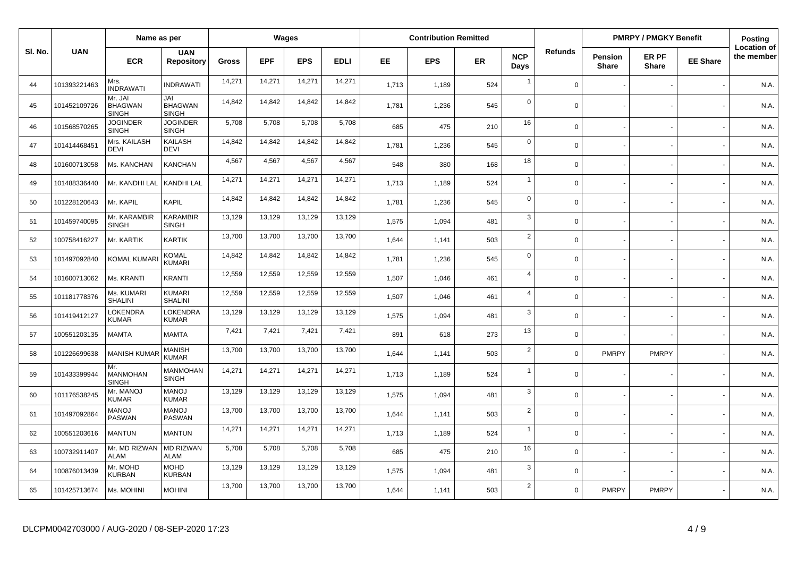|         |              | Name as per                               |                                       |              |            | Wages      |             |       | <b>Contribution Remitted</b> |           |                    |                |                         | <b>PMRPY / PMGKY Benefit</b> |                 | <b>Posting</b>                   |
|---------|--------------|-------------------------------------------|---------------------------------------|--------------|------------|------------|-------------|-------|------------------------------|-----------|--------------------|----------------|-------------------------|------------------------------|-----------------|----------------------------------|
| SI. No. | <b>UAN</b>   | <b>ECR</b>                                | <b>UAN</b><br><b>Repository</b>       | <b>Gross</b> | <b>EPF</b> | <b>EPS</b> | <b>EDLI</b> | EE.   | <b>EPS</b>                   | <b>ER</b> | <b>NCP</b><br>Days | <b>Refunds</b> | Pension<br><b>Share</b> | ER PF<br><b>Share</b>        | <b>EE Share</b> | <b>Location of</b><br>the member |
| 44      | 101393221463 | Mrs.<br><b>INDRAWATI</b>                  | <b>INDRAWATI</b>                      | 14,271       | 14,271     | 14,271     | 14,271      | 1,713 | 1,189                        | 524       | $\overline{1}$     | $\Omega$       |                         |                              |                 | N.A.                             |
| 45      | 101452109726 | Mr. JAI<br><b>BHAGWAN</b><br><b>SINGH</b> | JAI<br><b>BHAGWAN</b><br><b>SINGH</b> | 14,842       | 14,842     | 14,842     | 14,842      | 1,781 | 1,236                        | 545       | $\mathbf 0$        | $\Omega$       |                         |                              |                 | N.A.                             |
| 46      | 101568570265 | <b>JOGINDER</b><br><b>SINGH</b>           | <b>JOGINDER</b><br>SINGH              | 5,708        | 5,708      | 5,708      | 5,708       | 685   | 475                          | 210       | 16                 | $\mathbf 0$    |                         |                              |                 | N.A.                             |
| 47      | 101414468451 | Mrs. KAILASH<br><b>DEVI</b>               | KAILASH<br><b>DEVI</b>                | 14,842       | 14,842     | 14,842     | 14,842      | 1,781 | 1,236                        | 545       | $\mathbf 0$        | $\Omega$       |                         |                              |                 | N.A.                             |
| 48      | 101600713058 | Ms. KANCHAN                               | KANCHAN                               | 4,567        | 4,567      | 4,567      | 4,567       | 548   | 380                          | 168       | 18                 | $\Omega$       |                         |                              |                 | N.A.                             |
| 49      | 101488336440 | Mr. KANDHI LAL                            | KANDHI LAL                            | 14,271       | 14,271     | 14,271     | 14,271      | 1,713 | 1,189                        | 524       | $\overline{1}$     | $\Omega$       |                         |                              |                 | N.A.                             |
| 50      | 101228120643 | Mr. KAPIL                                 | KAPIL                                 | 14,842       | 14,842     | 14,842     | 14,842      | 1,781 | 1,236                        | 545       | $\mathbf 0$        | $\Omega$       |                         |                              |                 | N.A.                             |
| 51      | 101459740095 | Mr. KARAMBIR<br><b>SINGH</b>              | <b>KARAMBIR</b><br><b>SINGH</b>       | 13,129       | 13,129     | 13,129     | 13,129      | 1,575 | 1,094                        | 481       | $\mathbf{3}$       | $\Omega$       |                         |                              |                 | N.A.                             |
| 52      | 100758416227 | Mr. KARTIK                                | <b>KARTIK</b>                         | 13,700       | 13,700     | 13,700     | 13,700      | 1,644 | 1,141                        | 503       | $\overline{2}$     | $\Omega$       |                         |                              |                 | N.A.                             |
| 53      | 101497092840 | <b>KOMAL KUMAR</b>                        | <b>KOMAL</b><br><b>KUMARI</b>         | 14,842       | 14,842     | 14,842     | 14,842      | 1,781 | 1,236                        | 545       | $\mathbf 0$        | $\Omega$       |                         |                              |                 | N.A.                             |
| 54      | 101600713062 | Ms. KRANTI                                | <b>KRANTI</b>                         | 12,559       | 12,559     | 12,559     | 12,559      | 1,507 | 1,046                        | 461       | $\overline{4}$     | $\Omega$       |                         |                              |                 | N.A.                             |
| 55      | 101181778376 | Ms. KUMARI<br><b>SHALINI</b>              | <b>KUMARI</b><br><b>SHALINI</b>       | 12,559       | 12,559     | 12,559     | 12,559      | 1,507 | 1,046                        | 461       | $\overline{4}$     | $\Omega$       |                         |                              |                 | N.A.                             |
| 56      | 101419412127 | LOKENDRA<br><b>KUMAR</b>                  | <b>LOKENDRA</b><br><b>KUMAR</b>       | 13,129       | 13,129     | 13,129     | 13,129      | 1,575 | 1,094                        | 481       | $\mathbf{3}$       | $\Omega$       |                         |                              |                 | N.A.                             |
| 57      | 100551203135 | <b>MAMTA</b>                              | <b>MAMTA</b>                          | 7,421        | 7,421      | 7,421      | 7,421       | 891   | 618                          | 273       | 13                 | $\Omega$       |                         |                              |                 | N.A.                             |
| 58      | 101226699638 | <b>MANISH KUMAR</b>                       | <b>MANISH</b><br><b>KUMAR</b>         | 13,700       | 13,700     | 13,700     | 13,700      | 1,644 | 1,141                        | 503       | $\overline{2}$     | $\Omega$       | <b>PMRPY</b>            | <b>PMRPY</b>                 |                 | N.A.                             |
| 59      | 101433399944 | Mr.<br><b>MANMOHAN</b><br><b>SINGH</b>    | MANMOHAN<br><b>SINGH</b>              | 14,271       | 14,271     | 14,271     | 14,271      | 1,713 | 1,189                        | 524       | $\overline{1}$     | $\mathbf 0$    |                         |                              |                 | N.A.                             |
| 60      | 101176538245 | Mr. MANOJ<br><b>KUMAR</b>                 | <b>MANOJ</b><br><b>KUMAR</b>          | 13,129       | 13,129     | 13,129     | 13,129      | 1,575 | 1,094                        | 481       | $\mathbf{3}$       | $\Omega$       |                         |                              |                 | N.A.                             |
| 61      | 101497092864 | <b>MANOJ</b><br><b>PASWAN</b>             | <b>LONAM</b><br><b>PASWAN</b>         | 13,700       | 13,700     | 13,700     | 13,700      | 1,644 | 1,141                        | 503       | $\overline{2}$     | $\mathbf 0$    |                         |                              |                 | N.A.                             |
| 62      | 100551203616 | <b>MANTUN</b>                             | <b>MANTUN</b>                         | 14,271       | 14,271     | 14,271     | 14,271      | 1,713 | 1,189                        | 524       | $\overline{1}$     | $\Omega$       |                         |                              |                 | N.A.                             |
| 63      | 100732911407 | Mr. MD RIZWAN<br><b>ALAM</b>              | <b>MD RIZWAN</b><br>ALAM              | 5,708        | 5,708      | 5,708      | 5,708       | 685   | 475                          | 210       | 16                 | $\mathbf 0$    |                         |                              |                 | N.A.                             |
| 64      | 100876013439 | Mr. MOHD<br><b>KURBAN</b>                 | MOHD<br><b>KURBAN</b>                 | 13,129       | 13,129     | 13,129     | 13,129      | 1,575 | 1,094                        | 481       | $\mathbf{3}$       | $\Omega$       |                         |                              |                 | N.A.                             |
| 65      | 101425713674 | Ms. MOHINI                                | <b>MOHINI</b>                         | 13,700       | 13,700     | 13,700     | 13,700      | 1.644 | 1,141                        | 503       | $\overline{2}$     | $\Omega$       | <b>PMRPY</b>            | <b>PMRPY</b>                 |                 | N.A.                             |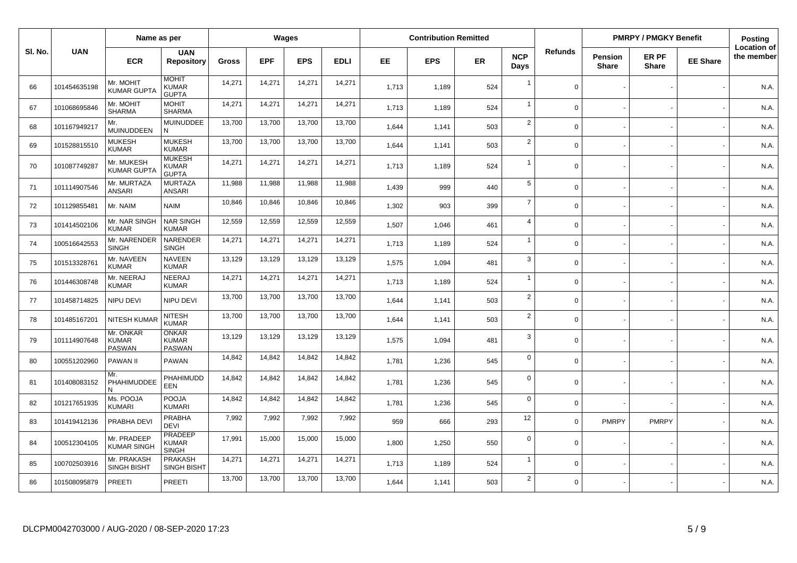|         |              | Name as per                                |                                                |        |            | Wages      |             |       | <b>Contribution Remitted</b> |           |                    |                |                                | <b>PMRPY / PMGKY Benefit</b> |                 | Posting                          |
|---------|--------------|--------------------------------------------|------------------------------------------------|--------|------------|------------|-------------|-------|------------------------------|-----------|--------------------|----------------|--------------------------------|------------------------------|-----------------|----------------------------------|
| SI. No. | <b>UAN</b>   | <b>ECR</b>                                 | <b>UAN</b><br><b>Repository</b>                | Gross  | <b>EPF</b> | <b>EPS</b> | <b>EDLI</b> | EE.   | <b>EPS</b>                   | <b>ER</b> | <b>NCP</b><br>Days | <b>Refunds</b> | <b>Pension</b><br><b>Share</b> | ER PF<br><b>Share</b>        | <b>EE Share</b> | <b>Location of</b><br>the member |
| 66      | 101454635198 | Mr. MOHIT<br><b>KUMAR GUPTA</b>            | <b>MOHIT</b><br><b>KUMAR</b><br><b>GUPTA</b>   | 14,271 | 14,271     | 14,271     | 14,271      | 1,713 | 1,189                        | 524       | $\overline{1}$     | $\Omega$       |                                |                              |                 | N.A.                             |
| 67      | 101068695846 | Mr. MOHIT<br><b>SHARMA</b>                 | <b>MOHIT</b><br><b>SHARMA</b>                  | 14,271 | 14,271     | 14,271     | 14,271      | 1,713 | 1,189                        | 524       | $\overline{1}$     | $\Omega$       |                                |                              |                 | N.A.                             |
| 68      | 101167949217 | Mr.<br>MUINUDDEEN                          | <b>MUINUDDEE</b><br>N                          | 13,700 | 13,700     | 13,700     | 13,700      | 1,644 | 1,141                        | 503       | $\overline{2}$     | $\Omega$       |                                |                              |                 | N.A.                             |
| 69      | 101528815510 | <b>MUKESH</b><br><b>KUMAR</b>              | <b>MUKESH</b><br><b>KUMAR</b>                  | 13,700 | 13,700     | 13,700     | 13,700      | 1,644 | 1,141                        | 503       | $\sqrt{2}$         | $\Omega$       |                                |                              |                 | N.A.                             |
| 70      | 101087749287 | Mr. MUKESH<br><b>KUMAR GUPTA</b>           | <b>MUKESH</b><br><b>KUMAR</b><br><b>GUPTA</b>  | 14,271 | 14,271     | 14,271     | 14,271      | 1,713 | 1,189                        | 524       | $\overline{1}$     | $\Omega$       |                                |                              |                 | N.A.                             |
| 71      | 101114907546 | Mr. MURTAZA<br><b>ANSARI</b>               | <b>MURTAZA</b><br><b>ANSARI</b>                | 11,988 | 11,988     | 11,988     | 11,988      | 1,439 | 999                          | 440       | $\overline{5}$     | $\Omega$       |                                |                              |                 | N.A.                             |
| 72      | 101129855481 | Mr. NAIM                                   | <b>NAIM</b>                                    | 10,846 | 10,846     | 10,846     | 10,846      | 1,302 | 903                          | 399       | $\overline{7}$     | $\Omega$       |                                |                              |                 | N.A.                             |
| 73      | 101414502106 | Mr. NAR SINGH<br><b>KUMAR</b>              | <b>NAR SINGH</b><br><b>KUMAR</b>               | 12,559 | 12,559     | 12,559     | 12,559      | 1,507 | 1.046                        | 461       | $\overline{4}$     | $\mathbf 0$    |                                |                              |                 | N.A.                             |
| 74      | 100516642553 | Mr. NARENDER<br><b>SINGH</b>               | NARENDER<br><b>SINGH</b>                       | 14,271 | 14,271     | 14,271     | 14,271      | 1,713 | 1,189                        | 524       | $\overline{1}$     | $\Omega$       |                                |                              |                 | N.A.                             |
| 75      | 101513328761 | Mr. NAVEEN<br><b>KUMAR</b>                 | <b>NAVEEN</b><br><b>KUMAR</b>                  | 13,129 | 13,129     | 13,129     | 13,129      | 1,575 | 1,094                        | 481       | 3                  | $\Omega$       |                                |                              |                 | N.A.                             |
| 76      | 101446308748 | Mr. NEERAJ<br><b>KUMAR</b>                 | <b>NEERAJ</b><br><b>KUMAR</b>                  | 14,271 | 14,271     | 14,271     | 14,271      | 1,713 | 1,189                        | 524       | $\overline{1}$     | $\Omega$       |                                |                              |                 | N.A.                             |
| 77      | 101458714825 | NIPU DEVI                                  | NIPU DEVI                                      | 13,700 | 13,700     | 13,700     | 13,700      | 1,644 | 1,141                        | 503       | $\overline{2}$     | $\Omega$       |                                |                              |                 | N.A                              |
| 78      | 101485167201 | <b>NITESH KUMAF</b>                        | <b>NITESH</b><br><b>KUMAR</b>                  | 13,700 | 13,700     | 13,700     | 13,700      | 1,644 | 1,141                        | 503       | $\sqrt{2}$         | $\Omega$       |                                |                              |                 | N.A.                             |
| 79      | 101114907648 | Mr. ONKAR<br><b>KUMAR</b><br><b>PASWAN</b> | <b>ONKAR</b><br><b>KUMAR</b><br><b>PASWAN</b>  | 13,129 | 13,129     | 13,129     | 13,129      | 1,575 | 1,094                        | 481       | 3                  | $\Omega$       |                                |                              |                 | N.A.                             |
| 80      | 100551202960 | <b>PAWAN II</b>                            | <b>PAWAN</b>                                   | 14,842 | 14,842     | 14,842     | 14,842      | 1,781 | 1,236                        | 545       | $\mathbf 0$        | $\Omega$       |                                |                              |                 | N.A.                             |
| 81      | 101408083152 | Mr.<br>PHAHIMUDDEE<br>N                    | PHAHIMUDD<br>EEN                               | 14,842 | 14,842     | 14,842     | 14,842      | 1,781 | 1,236                        | 545       | $\mathbf 0$        | $\mathbf 0$    |                                |                              |                 | N.A.                             |
| 82      | 101217651935 | Ms. POOJA<br><b>KUMARI</b>                 | <b>POOJA</b><br><b>KUMARI</b>                  | 14,842 | 14,842     | 14,842     | 14,842      | 1,781 | 1,236                        | 545       | $\mathbf 0$        | $\Omega$       |                                |                              |                 | N.A.                             |
| 83      | 101419412136 | PRABHA DEVI                                | <b>PRABHA</b><br><b>DEVI</b>                   | 7,992  | 7,992      | 7,992      | 7,992       | 959   | 666                          | 293       | 12                 | $\Omega$       | <b>PMRPY</b>                   | <b>PMRPY</b>                 |                 | N.A.                             |
| 84      | 100512304105 | Mr. PRADEEP<br>KUMAR SINGH                 | <b>PRADEEP</b><br><b>KUMAR</b><br><b>SINGH</b> | 17,991 | 15,000     | 15,000     | 15,000      | 1,800 | 1,250                        | 550       | $\mathbf 0$        | $\mathbf 0$    |                                |                              |                 | N.A.                             |
| 85      | 100702503916 | Mr. PRAKASH<br><b>SINGH BISHT</b>          | <b>PRAKASH</b><br><b>SINGH BISHT</b>           | 14,271 | 14,271     | 14,271     | 14,271      | 1,713 | 1,189                        | 524       | $\overline{1}$     | $\Omega$       |                                |                              |                 | N.A.                             |
| 86      | 101508095879 | <b>PREETI</b>                              | <b>PREETI</b>                                  | 13,700 | 13,700     | 13,700     | 13,700      | 1,644 | 1,141                        | 503       | $\overline{2}$     | $\Omega$       |                                |                              |                 | N.A.                             |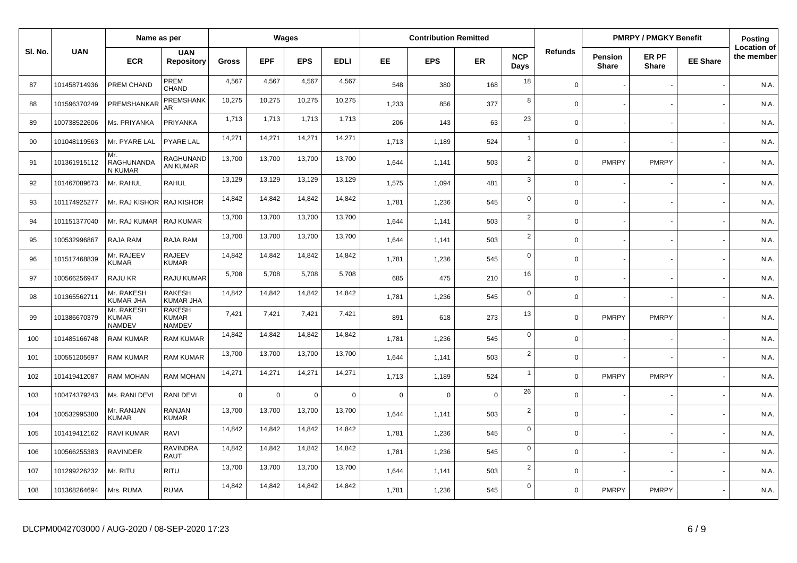|         |              | Name as per                                 |                                                | Wages        |              |                |             |             | <b>Contribution Remitted</b> |             |                    |                | <b>PMRPY / PMGKY Benefit</b>   |                       |                 | Posting<br><b>Location of</b> |
|---------|--------------|---------------------------------------------|------------------------------------------------|--------------|--------------|----------------|-------------|-------------|------------------------------|-------------|--------------------|----------------|--------------------------------|-----------------------|-----------------|-------------------------------|
| SI. No. | <b>UAN</b>   | <b>ECR</b>                                  | <b>UAN</b><br><b>Repository</b>                | <b>Gross</b> | <b>EPF</b>   | <b>EPS</b>     | <b>EDLI</b> | EE.         | <b>EPS</b>                   | <b>ER</b>   | <b>NCP</b><br>Days | <b>Refunds</b> | <b>Pension</b><br><b>Share</b> | ER PF<br><b>Share</b> | <b>EE Share</b> | the member                    |
| 87      | 101458714936 | PREM CHAND                                  | PREM<br>CHAND                                  | 4,567        | 4,567        | 4,567          | 4,567       | 548         | 380                          | 168         | 18                 | $\Omega$       |                                |                       |                 | N.A.                          |
| 88      | 101596370249 | PREMSHANKAR                                 | PREMSHANK<br>AR                                | 10.275       | 10,275       | 10,275         | 10,275      | 1,233       | 856                          | 377         | 8                  | $\Omega$       |                                |                       |                 | N.A.                          |
| 89      | 100738522606 | Ms. PRIYANKA                                | PRIYANKA                                       | 1,713        | 1,713        | 1,713          | 1,713       | 206         | 143                          | 63          | 23                 | $\Omega$       |                                |                       |                 | N.A.                          |
| 90      | 101048119563 | Mr. PYARE LAL                               | <b>PYARE LAL</b>                               | 14,271       | 14,271       | 14,271         | 14,271      | 1,713       | 1,189                        | 524         | $\overline{1}$     | $\Omega$       |                                |                       |                 | N.A.                          |
| 91      | 101361915112 | Mr.<br>RAGHUNANDA<br>N KUMAR                | <b>RAGHUNAND</b><br>AN KUMAR                   | 13,700       | 13,700       | 13,700         | 13,700      | 1,644       | 1,141                        | 503         | $\overline{2}$     | $\Omega$       | <b>PMRPY</b>                   | <b>PMRPY</b>          |                 | N.A.                          |
| 92      | 101467089673 | Mr. RAHUL                                   | RAHUL                                          | 13,129       | 13,129       | 13,129         | 13,129      | 1,575       | 1,094                        | 481         | $\mathbf{3}$       | $\Omega$       |                                |                       |                 | N.A.                          |
| 93      | 101174925277 | Mr. RAJ KISHOR   RAJ KISHOR                 |                                                | 14,842       | 14,842       | 14,842         | 14,842      | 1,781       | 1,236                        | 545         | $\mathbf 0$        | $\Omega$       |                                |                       |                 | N.A.                          |
| 94      | 101151377040 | Mr. RAJ KUMAR                               | RAJ KUMAR                                      | 13,700       | 13,700       | 13,700         | 13,700      | 1,644       | 1,141                        | 503         | $\overline{2}$     | $\Omega$       |                                |                       |                 | N.A.                          |
| 95      | 100532996867 | RAJA RAM                                    | RAJA RAM                                       | 13,700       | 13,700       | 13,700         | 13,700      | 1,644       | 1,141                        | 503         | $\overline{2}$     | $\Omega$       |                                |                       |                 | N.A.                          |
| 96      | 101517468839 | Mr. RAJEEV<br><b>KUMAR</b>                  | <b>RAJEEV</b><br><b>KUMAR</b>                  | 14,842       | 14,842       | 14,842         | 14,842      | 1,781       | 1,236                        | 545         | $\mathbf 0$        | $\Omega$       |                                |                       |                 | N.A.                          |
| 97      | 100566256947 | RAJU KR                                     | RAJU KUMAR                                     | 5,708        | 5.708        | 5,708          | 5,708       | 685         | 475                          | 210         | 16                 | $\Omega$       |                                |                       |                 | N.A.                          |
| 98      | 101365562711 | Mr. RAKESH<br><b>KUMAR JHA</b>              | <b>RAKESH</b><br><b>KUMAR JHA</b>              | 14,842       | 14,842       | 14,842         | 14,842      | 1,781       | 1,236                        | 545         | $\mathbf 0$        | $\Omega$       |                                |                       |                 | N.A.                          |
| 99      | 101386670379 | Mr. RAKESH<br><b>KUMAR</b><br><b>NAMDEV</b> | <b>RAKESH</b><br><b>KUMAR</b><br><b>NAMDEV</b> | 7,421        | 7,421        | 7,421          | 7,421       | 891         | 618                          | 273         | 13                 | $\Omega$       | <b>PMRPY</b>                   | <b>PMRPY</b>          |                 | N.A.                          |
| 100     | 101485166748 | <b>RAM KUMAR</b>                            | <b>RAM KUMAR</b>                               | 14,842       | 14,842       | 14,842         | 14,842      | 1,781       | 1,236                        | 545         | $\mathsf 0$        | $\Omega$       |                                |                       |                 | N.A.                          |
| 101     | 100551205697 | <b>RAM KUMAR</b>                            | <b>RAM KUMAR</b>                               | 13,700       | 13,700       | 13,700         | 13,700      | 1.644       | 1,141                        | 503         | $\overline{2}$     | $\Omega$       |                                |                       |                 | N.A.                          |
| 102     | 101419412087 | <b>RAM MOHAN</b>                            | <b>RAM MOHAN</b>                               | 14,271       | 14,271       | 14,271         | 14,271      | 1,713       | 1,189                        | 524         | $\overline{1}$     | $\Omega$       | <b>PMRPY</b>                   | <b>PMRPY</b>          |                 | N.A.                          |
| 103     | 100474379243 | Ms. RANI DEVI                               | RANI DEVI                                      | $\mathbf 0$  | $\mathbf{0}$ | $\overline{0}$ | $\mathbf 0$ | $\mathbf 0$ | $\Omega$                     | $\mathbf 0$ | 26                 | $\Omega$       |                                |                       |                 | N.A.                          |
| 104     | 100532995380 | Mr. RANJAN<br><b>KUMAR</b>                  | RANJAN<br><b>KUMAR</b>                         | 13,700       | 13,700       | 13,700         | 13,700      | 1,644       | 1,141                        | 503         | $\overline{2}$     | $\mathbf 0$    |                                |                       |                 | N.A.                          |
| 105     | 101419412162 | <b>RAVI KUMAR</b>                           | RAVI                                           | 14,842       | 14,842       | 14,842         | 14,842      | 1,781       | 1,236                        | 545         | $\mathbf 0$        | $\Omega$       |                                |                       |                 | N.A.                          |
| 106     | 100566255383 | RAVINDER                                    | <b>RAVINDRA</b><br><b>RAUT</b>                 | 14,842       | 14,842       | 14,842         | 14,842      | 1,781       | 1,236                        | 545         | $\mathsf 0$        | $\Omega$       |                                |                       |                 | N.A.                          |
| 107     | 101299226232 | Mr. RITU                                    | <b>RITU</b>                                    | 13,700       | 13,700       | 13,700         | 13,700      | 1,644       | 1,141                        | 503         | $\overline{2}$     | $\Omega$       |                                |                       |                 | N.A.                          |
| 108     | 101368264694 | Mrs. RUMA                                   | <b>RUMA</b>                                    | 14,842       | 14,842       | 14,842         | 14,842      | 1.781       | 1,236                        | 545         | $\overline{0}$     | $\Omega$       | <b>PMRPY</b>                   | <b>PMRPY</b>          |                 | N.A.                          |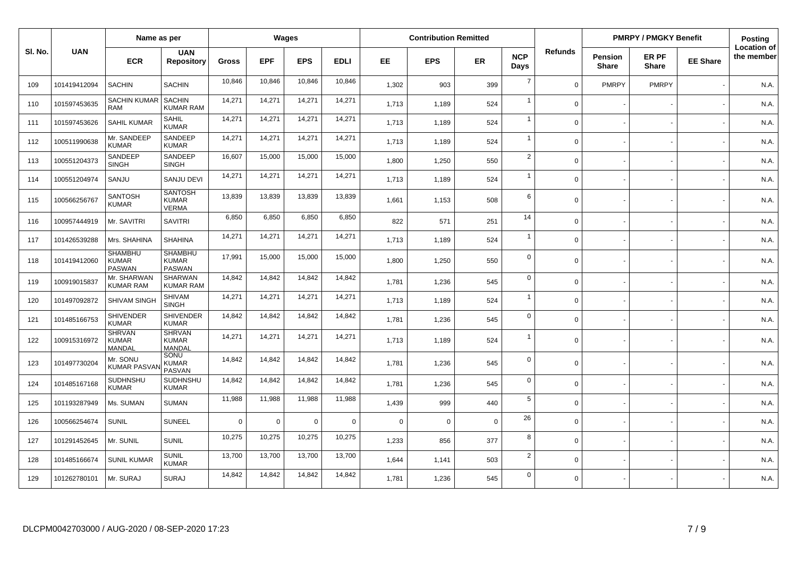|         |              | Name as per                                     |                                                 |              | <b>Wages</b> |             |             |             | <b>Contribution Remitted</b> |             |                    |                |                         | <b>PMRPY / PMGKY Benefit</b> |                 | Posting                          |
|---------|--------------|-------------------------------------------------|-------------------------------------------------|--------------|--------------|-------------|-------------|-------------|------------------------------|-------------|--------------------|----------------|-------------------------|------------------------------|-----------------|----------------------------------|
| SI. No. | <b>UAN</b>   | <b>ECR</b>                                      | <b>UAN</b><br><b>Repository</b>                 | <b>Gross</b> | <b>EPF</b>   | <b>EPS</b>  | <b>EDLI</b> | EE.         | <b>EPS</b>                   | <b>ER</b>   | <b>NCP</b><br>Days | <b>Refunds</b> | Pension<br><b>Share</b> | ER PF<br><b>Share</b>        | <b>EE Share</b> | <b>Location of</b><br>the member |
| 109     | 101419412094 | <b>SACHIN</b>                                   | <b>SACHIN</b>                                   | 10,846       | 10,846       | 10,846      | 10,846      | 1,302       | 903                          | 399         | $\overline{7}$     | $\Omega$       | <b>PMRPY</b>            | <b>PMRPY</b>                 |                 | N.A.                             |
| 110     | 101597453635 | <b>SACHIN KUMAR</b><br>RAM                      | <b>SACHIN</b><br><b>KUMAR RAM</b>               | 14,271       | 14,271       | 14,271      | 14,271      | 1,713       | 1,189                        | 524         | $\overline{1}$     | $\mathbf 0$    |                         |                              |                 | N.A.                             |
| 111     | 101597453626 | <b>SAHIL KUMAR</b>                              | <b>SAHIL</b><br><b>KUMAR</b>                    | 14,271       | 14,271       | 14,271      | 14,271      | 1,713       | 1,189                        | 524         | $\overline{1}$     | $\Omega$       |                         |                              |                 | N.A.                             |
| 112     | 100511990638 | Mr. SANDEEP<br><b>KUMAR</b>                     | SANDEEP<br><b>KUMAR</b>                         | 14,271       | 14,271       | 14,271      | 14,271      | 1.713       | 1,189                        | 524         | $\overline{1}$     | $\Omega$       |                         |                              |                 | N.A                              |
| 113     | 100551204373 | SANDEEP<br><b>SINGH</b>                         | SANDEEP<br><b>SINGH</b>                         | 16,607       | 15,000       | 15,000      | 15,000      | 1,800       | 1,250                        | 550         | $\overline{2}$     | $\Omega$       |                         |                              |                 | N.A.                             |
| 114     | 100551204974 | SANJU                                           | <b>SANJU DEVI</b>                               | 14,271       | 14,271       | 14,271      | 14,271      | 1,713       | 1,189                        | 524         | $\overline{1}$     | $\Omega$       |                         |                              |                 | N.A.                             |
| 115     | 100566256767 | <b>SANTOSH</b><br><b>KUMAR</b>                  | <b>SANTOSH</b><br><b>KUMAR</b><br><b>VERMA</b>  | 13,839       | 13,839       | 13,839      | 13,839      | 1,661       | 1,153                        | 508         | 6                  | $\mathbf 0$    |                         |                              |                 | N.A                              |
| 116     | 100957444919 | Mr. SAVITRI                                     | <b>SAVITRI</b>                                  | 6,850        | 6,850        | 6,850       | 6,850       | 822         | 571                          | 251         | 14                 | $\Omega$       |                         |                              |                 | N.A                              |
| 117     | 101426539288 | Mrs. SHAHINA                                    | <b>SHAHINA</b>                                  | 14,271       | 14,271       | 14,271      | 14,271      | 1,713       | 1,189                        | 524         | $\overline{1}$     | $\Omega$       |                         |                              |                 | N.A.                             |
| 118     | 101419412060 | <b>SHAMBHU</b><br><b>KUMAR</b><br><b>PASWAN</b> | <b>SHAMBHU</b><br><b>KUMAR</b><br><b>PASWAN</b> | 17,991       | 15,000       | 15,000      | 15,000      | 1.800       | 1,250                        | 550         | $\mathbf 0$        | $\Omega$       |                         |                              |                 | N.A.                             |
| 119     | 100919015837 | Mr. SHARWAN<br>KUMAR RAM                        | <b>SHARWAN</b><br><b>KUMAR RAM</b>              | 14,842       | 14,842       | 14,842      | 14,842      | 1,781       | 1,236                        | 545         | $\mathbf 0$        | $\Omega$       |                         |                              |                 | N.A.                             |
| 120     | 101497092872 | SHIVAM SINGH                                    | <b>SHIVAM</b><br><b>SINGH</b>                   | 14,271       | 14,271       | 14,271      | 14,271      | 1.713       | 1,189                        | 524         | $\overline{1}$     | $\Omega$       |                         |                              |                 | N.A.                             |
| 121     | 101485166753 | <b>SHIVENDER</b><br><b>KUMAR</b>                | <b>SHIVENDER</b><br><b>KUMAR</b>                | 14,842       | 14,842       | 14,842      | 14,842      | 1,781       | 1,236                        | 545         | $\mathbf 0$        | $\Omega$       |                         |                              |                 | N.A.                             |
| 122     | 100915316972 | <b>SHRVAN</b><br><b>KUMAR</b><br>MANDAL         | <b>SHRVAN</b><br><b>KUMAR</b><br>MANDAL         | 14,271       | 14,271       | 14,271      | 14,271      | 1.713       | 1,189                        | 524         | $\overline{1}$     | $\Omega$       |                         |                              |                 | N.A.                             |
| 123     | 101497730204 | Mr. SONU<br><b>KUMAR PASVA</b>                  | SONU<br><b>KUMAR</b><br><b>PASVAN</b>           | 14,842       | 14,842       | 14,842      | 14,842      | 1,781       | 1,236                        | 545         | $\mathbf 0$        | $\Omega$       |                         |                              |                 | N.A.                             |
| 124     | 101485167168 | SUDHNSHU<br><b>KUMAR</b>                        | SUDHNSHU<br><b>KUMAR</b>                        | 14,842       | 14.842       | 14,842      | 14,842      | 1.781       | 1,236                        | 545         | $\mathbf 0$        | $\Omega$       |                         |                              |                 | N.A.                             |
| 125     | 101193287949 | Ms. SUMAN                                       | <b>SUMAN</b>                                    | 11,988       | 11,988       | 11,988      | 11,988      | 1,439       | 999                          | 440         | 5                  | $\Omega$       |                         |                              |                 | N.A.                             |
| 126     | 100566254674 | <b>SUNIL</b>                                    | <b>SUNEEL</b>                                   | $\Omega$     | 0            | $\mathbf 0$ | $\mathbf 0$ | $\mathbf 0$ | $\Omega$                     | $\mathbf 0$ | 26                 | $\Omega$       |                         |                              |                 | N.A.                             |
| 127     | 101291452645 | Mr. SUNIL                                       | <b>SUNIL</b>                                    | 10,275       | 10,275       | 10,275      | 10,275      | 1,233       | 856                          | 377         | 8                  | $\mathbf 0$    |                         |                              |                 | N.A.                             |
| 128     | 101485166674 | <b>SUNIL KUMAR</b>                              | <b>SUNIL</b><br><b>KUMAR</b>                    | 13,700       | 13,700       | 13,700      | 13,700      | 1.644       | 1,141                        | 503         | $\overline{2}$     | $\Omega$       |                         |                              |                 | N.A.                             |
| 129     | 101262780101 | Mr. SURAJ                                       | <b>SURAJ</b>                                    | 14,842       | 14,842       | 14,842      | 14,842      | 1,781       | 1,236                        | 545         | $\mathbf 0$        | $\Omega$       |                         |                              |                 | N.A.                             |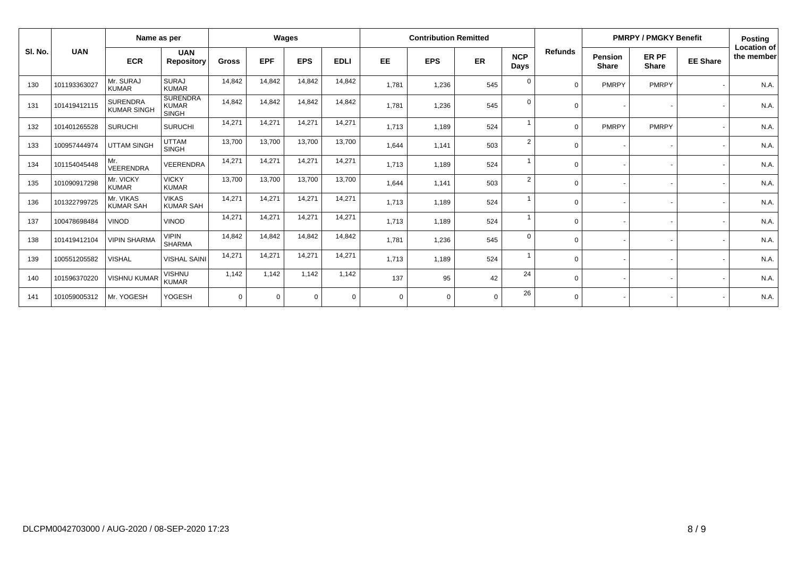|         | Name as per  |                                       |                                                 | Wages        |            |            |             | <b>Contribution Remitted</b> |             |             |                    |                |                                | <b>PMRPY / PMGKY Benefit</b> |                 | <b>Posting</b>                   |
|---------|--------------|---------------------------------------|-------------------------------------------------|--------------|------------|------------|-------------|------------------------------|-------------|-------------|--------------------|----------------|--------------------------------|------------------------------|-----------------|----------------------------------|
| SI. No. | <b>UAN</b>   | <b>ECR</b>                            | <b>UAN</b><br>Repository                        | <b>Gross</b> | <b>EPF</b> | <b>EPS</b> | <b>EDLI</b> | <b>EE</b>                    | <b>EPS</b>  | ER          | <b>NCP</b><br>Days | <b>Refunds</b> | <b>Pension</b><br><b>Share</b> | ER PF<br><b>Share</b>        | <b>EE Share</b> | <b>Location of</b><br>the member |
| 130     | 101193363027 | Mr. SURAJ<br><b>KUMAR</b>             | <b>SURAJ</b><br><b>KUMAR</b>                    | 14,842       | 14,842     | 14,842     | 14,842      | 1,781                        | 1,236       | 545         | $\overline{0}$     |                | PMRPY                          | <b>PMRPY</b>                 |                 | N.A.                             |
| 131     | 101419412115 | <b>SURENDRA</b><br><b>KUMAR SINGH</b> | <b>SURENDRA</b><br><b>KUMAR</b><br><b>SINGH</b> | 14,842       | 14,842     | 14,842     | 14,842      | 1,781                        | 1,236       | 545         | $\overline{0}$     |                |                                |                              |                 | N.A.                             |
| 132     | 101401265528 | <b>SURUCHI</b>                        | <b>SURUCHI</b>                                  | 14,271       | 14,271     | 14,271     | 14,271      | 1,713                        | 1,189       | 524         |                    | $\Omega$       | PMRPY                          | <b>PMRPY</b>                 |                 | N.A.                             |
| 133     | 100957444974 | <b>UTTAM SINGH</b>                    | <b>UTTAM</b><br><b>SINGH</b>                    | 13,700       | 13,700     | 13,700     | 13,700      | 1,644                        | 1,141       | 503         | $\overline{2}$     |                | $\overline{\phantom{a}}$       |                              |                 | N.A                              |
| 134     | 101154045448 | Mr.<br><b>VEERENDRA</b>               | <b>VEERENDRA</b>                                | 14.271       | 14,271     | 14,271     | 14,271      | 1,713                        | 1,189       | 524         | $\overline{1}$     | $\Omega$       | $\sim$                         |                              |                 | N.A.                             |
| 135     | 101090917298 | Mr. VICKY<br><b>KUMAR</b>             | <b>VICKY</b><br><b>KUMAR</b>                    | 13,700       | 13,700     | 13,700     | 13,700      | 1,644                        | 1,141       | 503         | $\overline{2}$     | $\Omega$       | $\overline{\phantom{a}}$       |                              |                 | N.A.                             |
| 136     | 101322799725 | Mr. VIKAS<br><b>KUMAR SAH</b>         | <b>VIKAS</b><br><b>KUMAR SAH</b>                | 14,271       | 14,271     | 14,271     | 14,271      | 1,713                        | 1,189       | 524         | $\overline{1}$     | $\Omega$       |                                |                              |                 | N.A.                             |
| 137     | 100478698484 | <b>VINOD</b>                          | <b>VINOD</b>                                    | 14,271       | 14,271     | 14,271     | 14,271      | 1,713                        | 1,189       | 524         |                    | $\Omega$       | $\overline{\phantom{a}}$       |                              |                 | N.A.                             |
| 138     | 101419412104 | <b>VIPIN SHARMA</b>                   | <b>VIPIN</b><br><b>SHARMA</b>                   | 14,842       | 14,842     | 14,842     | 14,842      | 1,781                        | 1,236       | 545         | $\mathbf 0$        | $\Omega$       |                                |                              |                 | N.A.                             |
| 139     | 100551205582 | <b>VISHAL</b>                         | <b>VISHAL SAINI</b>                             | 14,271       | 14,271     | 14,271     | 14,271      | 1,713                        | 1,189       | 524         |                    | $\Omega$       |                                |                              |                 | N.A.                             |
| 140     | 101596370220 | <b>VISHNU KUMAR</b>                   | <b>VISHNU</b><br><b>KUMAR</b>                   | 1.142        | 1,142      | 1,142      | 1,142       | 137                          | 95          | 42          | 24                 | $\Omega$       |                                |                              |                 | N.A.                             |
| 141     | 101059005312 | Mr. YOGESH                            | <b>YOGESH</b>                                   | $\Omega$     | $\Omega$   | $\Omega$   | $\Omega$    | $\Omega$                     | $\mathbf 0$ | $\mathbf 0$ | 26                 | $\Omega$       | $\sim$                         |                              |                 | N.A.                             |